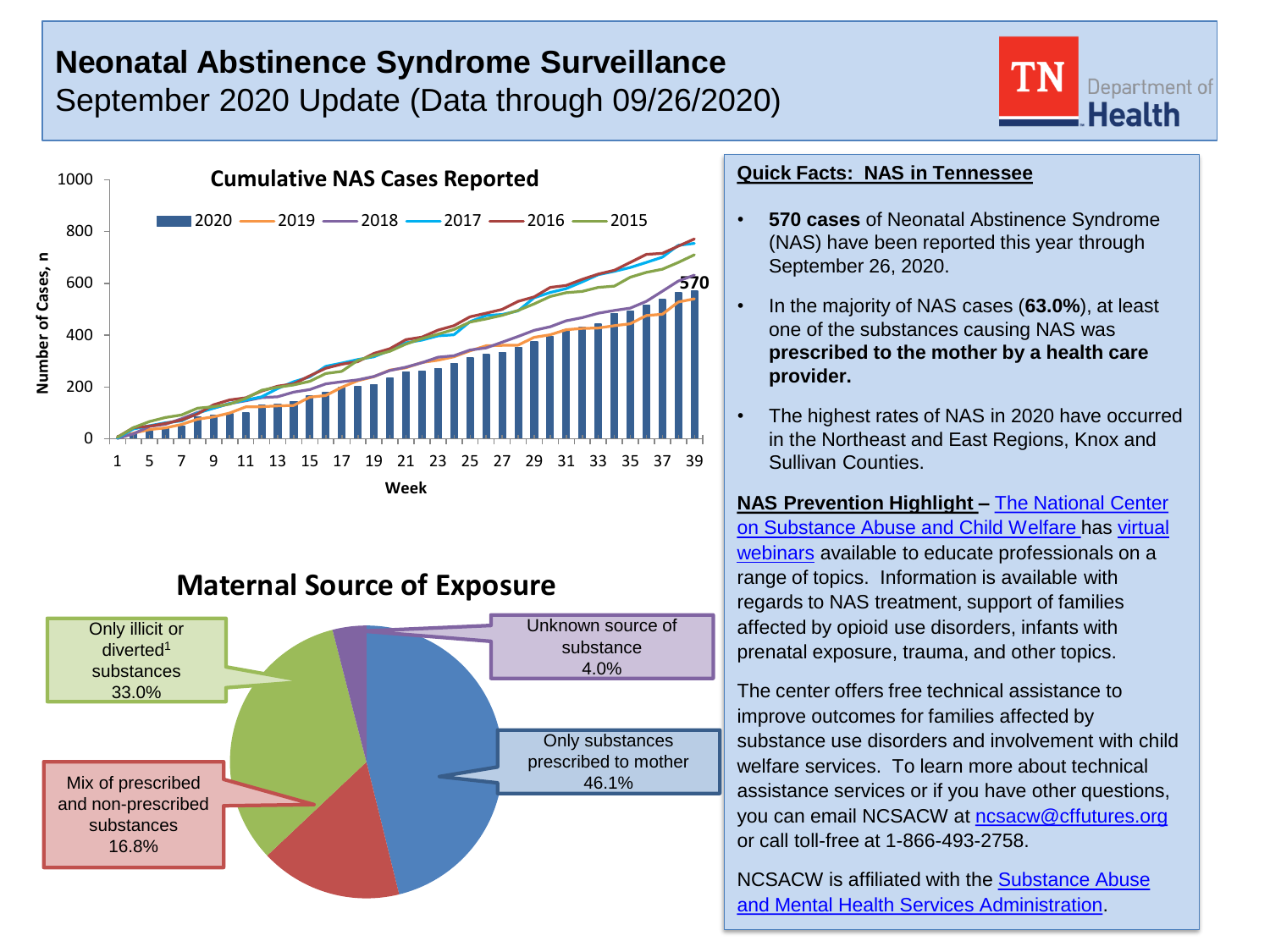# **Neonatal Abstinence Syndrome Surveillance** September 2020 Update (Data through 09/26/2020)





# **Maternal Source of Exposure**



### **Quick Facts: NAS in Tennessee**

- **570 cases** of Neonatal Abstinence Syndrome (NAS) have been reported this year through September 26, 2020.
- In the majority of NAS cases (**63.0%**), at least one of the substances causing NAS was **prescribed to the mother by a health care provider.**
- The highest rates of NAS in 2020 have occurred in the Northeast and East Regions, Knox and Sullivan Counties.

**NAS Prevention Highlight –** The National Center [on Substance Abuse and Child Welfare has virtual](https://ncsacw.samhsa.gov/default.aspx)  webinars available to educate professionals on a range of topics. Information is available with regards to NAS treatment, support of families affected by opioid use disorders, infants with prenatal exposure, trauma, and other topics.

The center offers free technical assistance to improve outcomes for families affected by substance use disorders and involvement with child welfare services. To learn more about technical assistance services or if you have other questions, you can email NCSACW at [ncsacw@cffutures.org](mailto:ncsacw@cffutures.org) or call toll-free at 1-866-493-2758.

[NCSACW is affiliated with the Substance Abuse](https://www.samhsa.gov/) and Mental Health Services Administration.